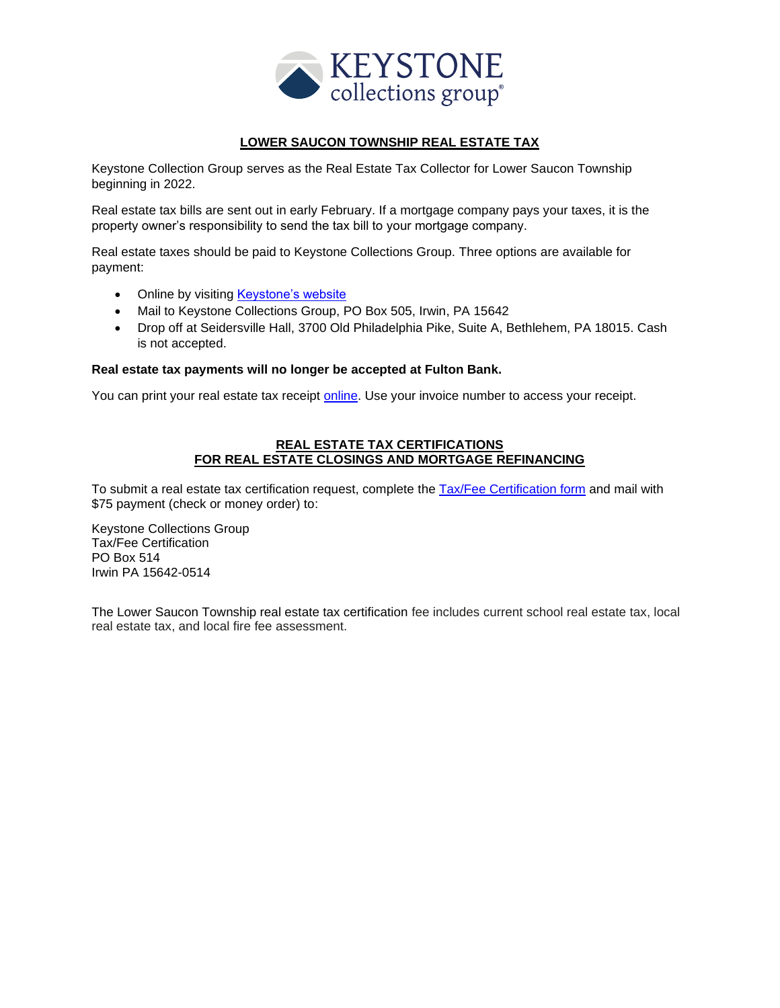

#### **LOWER SAUCON TOWNSHIP REAL ESTATE TAX**

Keystone Collection Group serves as the Real Estate Tax Collector for Lower Saucon Township beginning in 2022.

Real estate tax bills are sent out in early February. If a mortgage company pays your taxes, it is the property owner's responsibility to send the tax bill to your mortgage company.

Real estate taxes should be paid to Keystone Collections Group. Three options are available for payment:

- Online by visiting **Keystone's website**
- Mail to Keystone Collections Group, PO Box 505, Irwin, PA 15642
- Drop off at Seidersville Hall, 3700 Old Philadelphia Pike, Suite A, Bethlehem, PA 18015. Cash is not accepted.

#### **Real estate tax payments will no longer be accepted at Fulton Bank.**

You can print your real estate tax receipt [online.](https://pay.keystonecollects.com/) Use your invoice number to access your receipt.

#### **REAL ESTATE TAX CERTIFICATIONS FOR REAL ESTATE CLOSINGS AND MORTGAGE REFINANCING**

To submit a real estate tax certification request, complete the [Tax/Fee Certification form](https://keystonecollects.com/download/Tax-Fee%20Certification%20Form.pdf) and mail with \$75 payment (check or money order) to:

Keystone Collections Group Tax/Fee Certification PO Box 514 Irwin PA 15642-0514

The Lower Saucon Township real estate tax certification fee includes current school real estate tax, local real estate tax, and local fire fee assessment.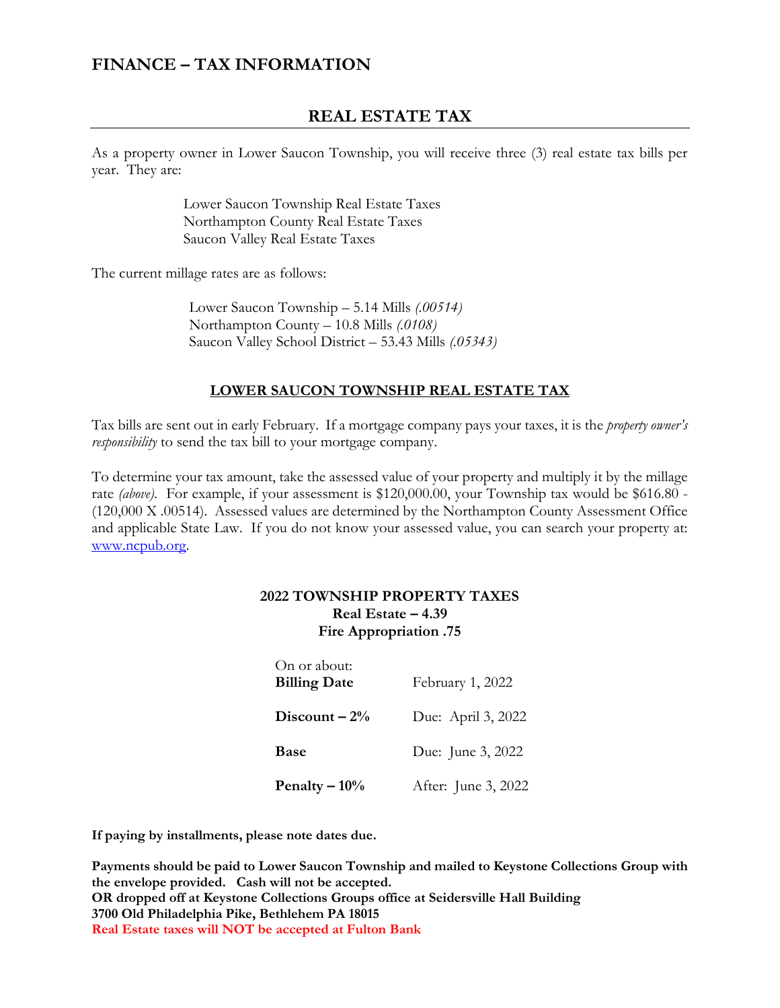# **FINANCE – TAX INFORMATION**

# **REAL ESTATE TAX**

As a property owner in Lower Saucon Township, you will receive three (3) real estate tax bills per year. They are:

> Lower Saucon Township Real Estate Taxes Northampton County Real Estate Taxes Saucon Valley Real Estate Taxes

The current millage rates are as follows:

Lower Saucon Township – 5.14 Mills *(.00514)* Northampton County – 10.8 Mills *(.0108)* Saucon Valley School District – 53.43 Mills *(.05343)*

## **LOWER SAUCON TOWNSHIP REAL ESTATE TAX**

Tax bills are sent out in early February. If a mortgage company pays your taxes, it is the *property owner's responsibility* to send the tax bill to your mortgage company.

To determine your tax amount, take the assessed value of your property and multiply it by the millage rate *(above)*. For example, if your assessment is \$120,000.00, your Township tax would be \$616.80 - (120,000 X .00514). Assessed values are determined by the Northampton County Assessment Office and applicable State Law. If you do not know your assessed value, you can search your property at: [www.ncpub.org.](http://www.ncpub.org/)

### **2022 TOWNSHIP PROPERTY TAXES Real Estate – 4.39 Fire Appropriation .75**

| On or about:<br><b>Billing Date</b> | February 1, 2022    |
|-------------------------------------|---------------------|
| Discount $-2\%$                     | Due: April 3, 2022  |
| <b>Base</b>                         | Due: June 3, 2022   |
| Penalty $-10\%$                     | After: June 3, 2022 |

**If paying by installments, please note dates due.**

**Payments should be paid to Lower Saucon Township and mailed to Keystone Collections Group with the envelope provided. Cash will not be accepted. OR dropped off at Keystone Collections Groups office at Seidersville Hall Building 3700 Old Philadelphia Pike, Bethlehem PA 18015 Real Estate taxes will NOT be accepted at Fulton Bank**